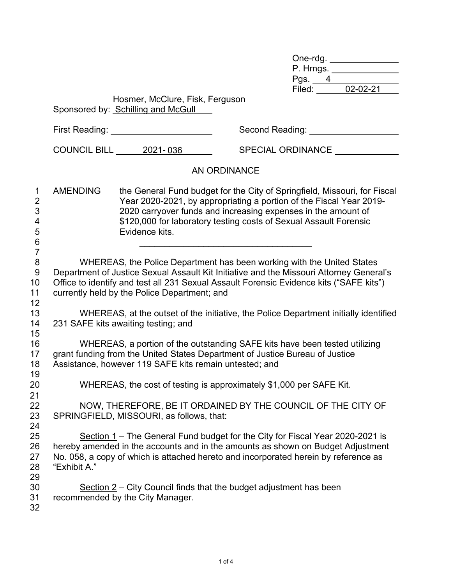| One-rdg.  |          |  |
|-----------|----------|--|
| P. Hrngs. |          |  |
| Pgs.      |          |  |
| Filed:    | 02-02-21 |  |

|                                                                 |                                                                                                          | Hosmer, McClure, Fisk, Ferguson<br>Sponsored by: Schilling and McGull                |                                                                                                                                                                                                                                                                                        |  |  |  |
|-----------------------------------------------------------------|----------------------------------------------------------------------------------------------------------|--------------------------------------------------------------------------------------|----------------------------------------------------------------------------------------------------------------------------------------------------------------------------------------------------------------------------------------------------------------------------------------|--|--|--|
|                                                                 |                                                                                                          | First Reading: _______________________                                               | Second Reading: Network Second Reading:                                                                                                                                                                                                                                                |  |  |  |
|                                                                 |                                                                                                          | COUNCIL BILL 2021-036                                                                | SPECIAL ORDINANCE _____________                                                                                                                                                                                                                                                        |  |  |  |
|                                                                 |                                                                                                          |                                                                                      | <b>AN ORDINANCE</b>                                                                                                                                                                                                                                                                    |  |  |  |
| 1<br>$\overline{\mathbf{c}}$<br>3<br>4<br>5<br>$\,6$            | <b>AMENDING</b>                                                                                          | Evidence kits.                                                                       | the General Fund budget for the City of Springfield, Missouri, for Fiscal<br>Year 2020-2021, by appropriating a portion of the Fiscal Year 2019-<br>2020 carryover funds and increasing expenses in the amount of<br>\$120,000 for laboratory testing costs of Sexual Assault Forensic |  |  |  |
| $\overline{7}$<br>$\bf 8$<br>$\boldsymbol{9}$<br>10<br>11<br>12 |                                                                                                          | currently held by the Police Department; and                                         | WHEREAS, the Police Department has been working with the United States<br>Department of Justice Sexual Assault Kit Initiative and the Missouri Attorney General's<br>Office to identify and test all 231 Sexual Assault Forensic Evidence kits ("SAFE kits")                           |  |  |  |
| 13<br>14<br>15                                                  | 231 SAFE kits awaiting testing; and                                                                      | WHEREAS, at the outset of the initiative, the Police Department initially identified |                                                                                                                                                                                                                                                                                        |  |  |  |
| 16<br>17<br>18                                                  |                                                                                                          | Assistance, however 119 SAFE kits remain untested; and                               | WHEREAS, a portion of the outstanding SAFE kits have been tested utilizing<br>grant funding from the United States Department of Justice Bureau of Justice                                                                                                                             |  |  |  |
| 19<br>20                                                        |                                                                                                          |                                                                                      | WHEREAS, the cost of testing is approximately \$1,000 per SAFE Kit.                                                                                                                                                                                                                    |  |  |  |
| 21<br>22<br>23<br>24                                            | NOW, THEREFORE, BE IT ORDAINED BY THE COUNCIL OF THE CITY OF<br>SPRINGFIELD, MISSOURI, as follows, that: |                                                                                      |                                                                                                                                                                                                                                                                                        |  |  |  |
| 25<br>26<br>27<br>28                                            | "Exhibit A."                                                                                             |                                                                                      | Section 1 – The General Fund budget for the City for Fiscal Year 2020-2021 is<br>hereby amended in the accounts and in the amounts as shown on Budget Adjustment<br>No. 058, a copy of which is attached hereto and incorporated herein by reference as                                |  |  |  |
| 29<br>30<br>31<br>32                                            |                                                                                                          | recommended by the City Manager.                                                     | Section 2 – City Council finds that the budget adjustment has been                                                                                                                                                                                                                     |  |  |  |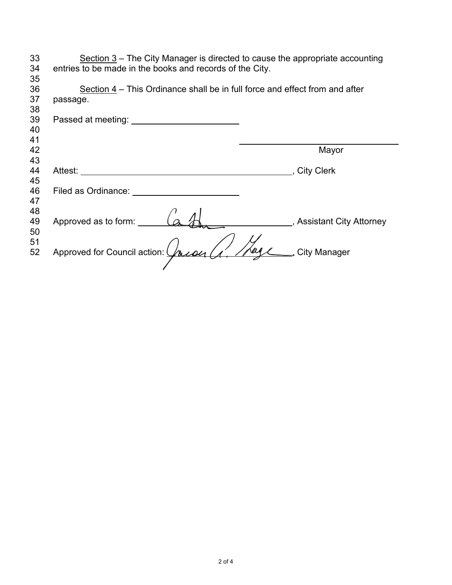| 33 | Section $3$ – The City Manager is directed to cause the appropriate accounting |                           |
|----|--------------------------------------------------------------------------------|---------------------------|
| 34 | entries to be made in the books and records of the City.                       |                           |
| 35 |                                                                                |                           |
| 36 | Section 4 – This Ordinance shall be in full force and effect from and after    |                           |
| 37 | passage.                                                                       |                           |
| 38 |                                                                                |                           |
| 39 | Passed at meeting: __                                                          |                           |
| 40 |                                                                                |                           |
| 41 |                                                                                |                           |
| 42 |                                                                                | Mayor                     |
| 43 |                                                                                |                           |
| 44 | Attest:                                                                        | , City Clerk              |
| 45 |                                                                                |                           |
| 46 | Filed as Ordinance:                                                            |                           |
| 47 |                                                                                |                           |
| 48 |                                                                                |                           |
| 49 | Approved as to form:                                                           | , Assistant City Attorney |
| 50 |                                                                                |                           |
| 51 |                                                                                |                           |
| 52 | Approved for Council action: (Auron                                            | <b>City Manager</b>       |
|    |                                                                                |                           |
|    |                                                                                |                           |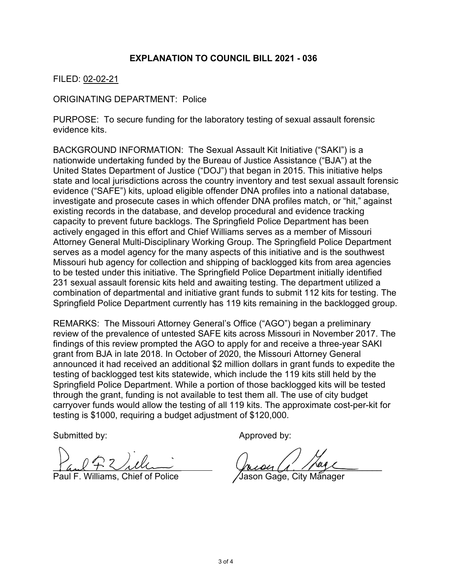## **EXPLANATION TO COUNCIL BILL 2021 - 036**

## FILED: 02-02-21

ORIGINATING DEPARTMENT: Police

PURPOSE: To secure funding for the laboratory testing of sexual assault forensic evidence kits.

BACKGROUND INFORMATION: The Sexual Assault Kit Initiative ("SAKI") is a nationwide undertaking funded by the Bureau of Justice Assistance ("BJA") at the United States Department of Justice ("DOJ") that began in 2015. This initiative helps state and local jurisdictions across the country inventory and test sexual assault forensic evidence ("SAFE") kits, upload eligible offender DNA profiles into a national database, investigate and prosecute cases in which offender DNA profiles match, or "hit," against existing records in the database, and develop procedural and evidence tracking capacity to prevent future backlogs. The Springfield Police Department has been actively engaged in this effort and Chief Williams serves as a member of Missouri Attorney General Multi-Disciplinary Working Group. The Springfield Police Department serves as a model agency for the many aspects of this initiative and is the southwest Missouri hub agency for collection and shipping of backlogged kits from area agencies to be tested under this initiative. The Springfield Police Department initially identified 231 sexual assault forensic kits held and awaiting testing. The department utilized a combination of departmental and initiative grant funds to submit 112 kits for testing. The Springfield Police Department currently has 119 kits remaining in the backlogged group.

REMARKS: The Missouri Attorney General's Office ("AGO") began a preliminary review of the prevalence of untested SAFE kits across Missouri in November 2017. The findings of this review prompted the AGO to apply for and receive a three-year SAKI grant from BJA in late 2018. In October of 2020, the Missouri Attorney General announced it had received an additional \$2 million dollars in grant funds to expedite the testing of backlogged test kits statewide, which include the 119 kits still held by the Springfield Police Department. While a portion of those backlogged kits will be tested through the grant, funding is not available to test them all. The use of city budget carryover funds would allow the testing of all 119 kits. The approximate cost-per-kit for testing is \$1000, requiring a budget adjustment of \$120,000.

Submitted by: Approved by:

\_\_\_\_\_\_\_\_\_\_\_\_\_\_\_\_\_\_\_\_\_\_\_\_\_\_ \_\_\_\_\_\_\_\_\_\_\_\_\_\_\_\_\_\_\_\_\_\_\_\_\_\_\_\_\_

Williams, Chief of Police /Jason Gage, City Manager